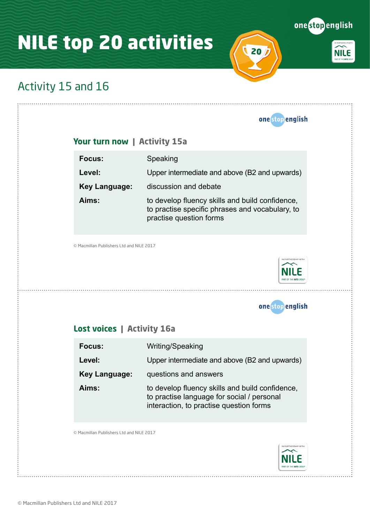# NILE top 20 activities (20)



**NILE** 

## Activity 15 and 16

 $\ddot{\ddot{\cdot}}$ 

|                                          | one stop english                                                                                                                         |
|------------------------------------------|------------------------------------------------------------------------------------------------------------------------------------------|
| Your turn now   Activity 15a             |                                                                                                                                          |
| Focus:                                   | Speaking                                                                                                                                 |
| Level:                                   | Upper intermediate and above (B2 and upwards)                                                                                            |
| <b>Key Language:</b>                     | discussion and debate                                                                                                                    |
| Aims:                                    | to develop fluency skills and build confidence,<br>to practise specific phrases and vocabulary, to<br>practise question forms            |
| © Macmillan Publishers Ltd and NILE 2017 | N PARTNERSHIP WITH                                                                                                                       |
|                                          |                                                                                                                                          |
| Lost voices   Activity 16a               | onestop english                                                                                                                          |
| Focus:                                   | Writing/Speaking                                                                                                                         |
| Level:                                   | Upper intermediate and above (B2 and upwards)                                                                                            |
| <b>Key Language:</b>                     | questions and answers                                                                                                                    |
| Aims:                                    | to develop fluency skills and build confidence,<br>to practise language for social / personal<br>interaction, to practise question forms |
| © Macmillan Publishers Ltd and NILE 2017 |                                                                                                                                          |